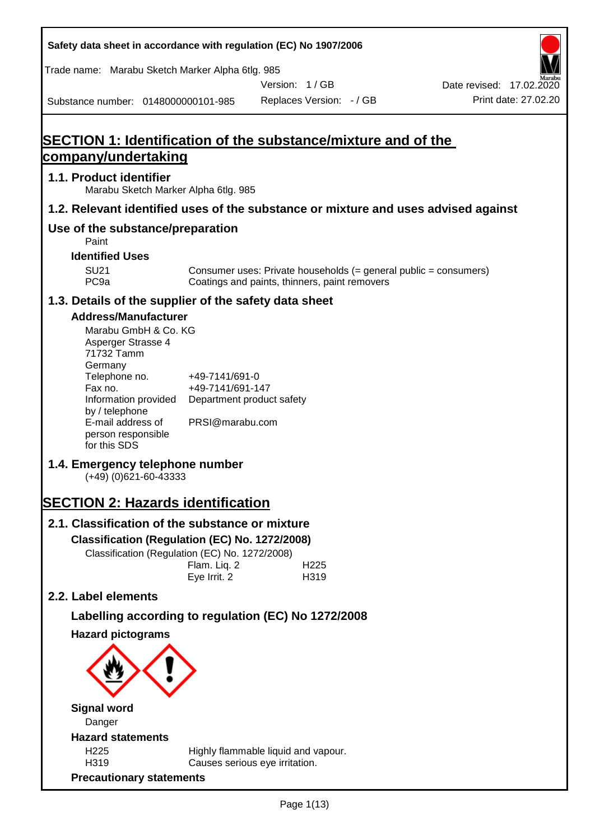**Safety data sheet in accordance with regulation (EC) No 1907/2006** Substance number: 0148000000101-985 Version: 1 / GB Replaces Version: - / GB Print date: 27.02.20 Date revised: 17.02.2020 Trade name: Marabu Sketch Marker Alpha 6tlg. 985 **SECTION 1: Identification of the substance/mixture and of the company/undertaking 1.1. Product identifier** Marabu Sketch Marker Alpha 6tlg. 985 **1.2. Relevant identified uses of the substance or mixture and uses advised against Use of the substance/preparation** Paint **Identified Uses** SU21 Consumer uses: Private households (= general public = consumers)<br>PC9a Coatings and paints, thinners, paint removers Coatings and paints, thinners, paint removers **1.3. Details of the supplier of the safety data sheet Address/Manufacturer** Marabu GmbH & Co. KG Asperger Strasse 4 71732 Tamm **Germany** Telephone no. +49-7141/691-0 Fax no.  $+49-7141/691-147$ Information provided Department product safety by / telephone E-mail address of person responsible for this SDS PRSI@marabu.com **1.4. Emergency telephone number** (+49) (0)621-60-43333 **SECTION 2: Hazards identification 2.1. Classification of the substance or mixture Classification (Regulation (EC) No. 1272/2008)** Classification (Regulation (EC) No. 1272/2008) Flam. Liq. 2 H225 Eye Irrit. 2 H319 **2.2. Label elements Labelling according to regulation (EC) No 1272/2008 Hazard pictograms Signal word** Danger **Hazard statements** H225 Highly flammable liquid and vapour. H319 Causes serious eye irritation. **Precautionary statements**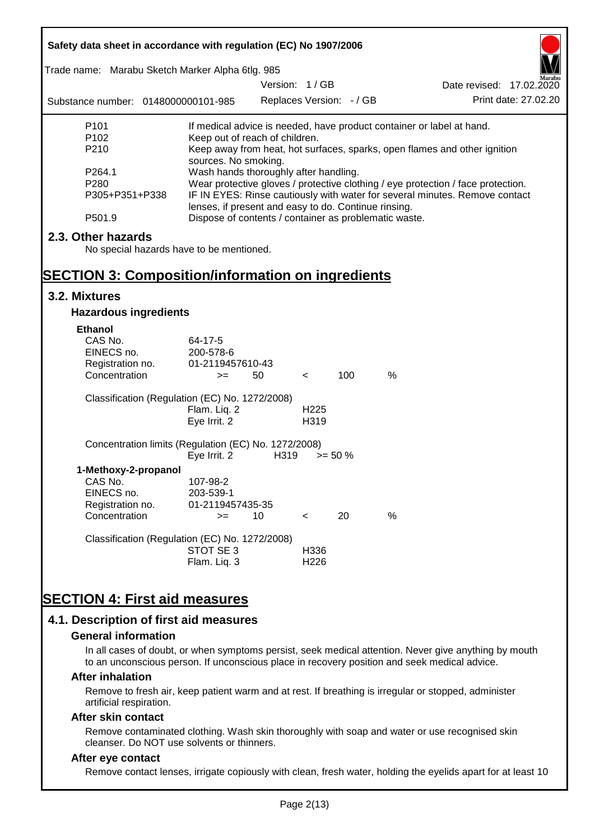| Safety data sheet in accordance with regulation (EC) No 1907/2006<br>Trade name: Marabu Sketch Marker Alpha 6tlg. 985 |                                                                                                                                                                                                                                 |                                           |                  |            |      |                                                                       |
|-----------------------------------------------------------------------------------------------------------------------|---------------------------------------------------------------------------------------------------------------------------------------------------------------------------------------------------------------------------------|-------------------------------------------|------------------|------------|------|-----------------------------------------------------------------------|
| Substance number: 0148000000101-985                                                                                   |                                                                                                                                                                                                                                 | Version: 1/GB<br>Replaces Version: - / GB |                  |            |      | Date revised: 17.02.2020<br>Print date: 27.02.20                      |
| P <sub>101</sub>                                                                                                      |                                                                                                                                                                                                                                 |                                           |                  |            |      | If medical advice is needed, have product container or label at hand. |
| P <sub>102</sub>                                                                                                      | Keep out of reach of children.                                                                                                                                                                                                  |                                           |                  |            |      |                                                                       |
| P210<br>Keep away from heat, hot surfaces, sparks, open flames and other ignition<br>sources. No smoking.             |                                                                                                                                                                                                                                 |                                           |                  |            |      |                                                                       |
| P264.1                                                                                                                | Wash hands thoroughly after handling.                                                                                                                                                                                           |                                           |                  |            |      |                                                                       |
| P305+P351+P338                                                                                                        | Wear protective gloves / protective clothing / eye protection / face protection.<br>P280<br>IF IN EYES: Rinse cautiously with water for several minutes. Remove contact<br>lenses, if present and easy to do. Continue rinsing. |                                           |                  |            |      |                                                                       |
| P501.9                                                                                                                | Dispose of contents / container as problematic waste.                                                                                                                                                                           |                                           |                  |            |      |                                                                       |
| 2.3. Other hazards                                                                                                    |                                                                                                                                                                                                                                 |                                           |                  |            |      |                                                                       |
| No special hazards have to be mentioned.                                                                              |                                                                                                                                                                                                                                 |                                           |                  |            |      |                                                                       |
|                                                                                                                       |                                                                                                                                                                                                                                 |                                           |                  |            |      |                                                                       |
| <b>SECTION 3: Composition/information on ingredients</b>                                                              |                                                                                                                                                                                                                                 |                                           |                  |            |      |                                                                       |
| 3.2. Mixtures                                                                                                         |                                                                                                                                                                                                                                 |                                           |                  |            |      |                                                                       |
| <b>Hazardous ingredients</b>                                                                                          |                                                                                                                                                                                                                                 |                                           |                  |            |      |                                                                       |
| <b>Ethanol</b>                                                                                                        |                                                                                                                                                                                                                                 |                                           |                  |            |      |                                                                       |
| CAS No.                                                                                                               | 64-17-5                                                                                                                                                                                                                         |                                           |                  |            |      |                                                                       |
| EINECS no.                                                                                                            | 200-578-6                                                                                                                                                                                                                       |                                           |                  |            |      |                                                                       |
| Registration no.                                                                                                      | 01-2119457610-43                                                                                                                                                                                                                |                                           |                  |            |      |                                                                       |
| Concentration                                                                                                         | $>=$                                                                                                                                                                                                                            | 50                                        | $\prec$          | 100        | %    |                                                                       |
| Classification (Regulation (EC) No. 1272/2008)                                                                        |                                                                                                                                                                                                                                 |                                           |                  |            |      |                                                                       |
|                                                                                                                       | Flam. Liq. 2                                                                                                                                                                                                                    |                                           | H <sub>225</sub> |            |      |                                                                       |
|                                                                                                                       | Eye Irrit. 2                                                                                                                                                                                                                    |                                           | H319             |            |      |                                                                       |
| Concentration limits (Regulation (EC) No. 1272/2008)                                                                  |                                                                                                                                                                                                                                 |                                           |                  |            |      |                                                                       |
|                                                                                                                       | Eye Irrit. 2                                                                                                                                                                                                                    | H319                                      |                  | $>= 50 \%$ |      |                                                                       |
| 1-Methoxy-2-propanol<br>CAS No.                                                                                       | 107-98-2                                                                                                                                                                                                                        |                                           |                  |            |      |                                                                       |
| EINECS no.                                                                                                            | 203-539-1                                                                                                                                                                                                                       |                                           |                  |            |      |                                                                       |
| Registration no.                                                                                                      | 01-2119457435-35                                                                                                                                                                                                                |                                           |                  |            |      |                                                                       |
| Concentration                                                                                                         | $>=$                                                                                                                                                                                                                            | 10                                        | $\,<\,$          | 20         | $\%$ |                                                                       |
| Classification (Regulation (EC) No. 1272/2008)                                                                        |                                                                                                                                                                                                                                 |                                           |                  |            |      |                                                                       |
|                                                                                                                       | STOT SE3                                                                                                                                                                                                                        |                                           | H336             |            |      |                                                                       |
|                                                                                                                       | Flam. Liq. 3                                                                                                                                                                                                                    |                                           | H226             |            |      |                                                                       |
|                                                                                                                       |                                                                                                                                                                                                                                 |                                           |                  |            |      |                                                                       |
| <b>SECTION 4: First aid measures</b>                                                                                  |                                                                                                                                                                                                                                 |                                           |                  |            |      |                                                                       |
|                                                                                                                       |                                                                                                                                                                                                                                 |                                           |                  |            |      |                                                                       |
| 4.1. Description of first aid measures                                                                                |                                                                                                                                                                                                                                 |                                           |                  |            |      |                                                                       |

#### **General information**

In all cases of doubt, or when symptoms persist, seek medical attention. Never give anything by mouth to an unconscious person. If unconscious place in recovery position and seek medical advice.

#### **After inhalation**

Remove to fresh air, keep patient warm and at rest. If breathing is irregular or stopped, administer artificial respiration.

#### **After skin contact**

Remove contaminated clothing. Wash skin thoroughly with soap and water or use recognised skin cleanser. Do NOT use solvents or thinners.

# **After eye contact**

Remove contact lenses, irrigate copiously with clean, fresh water, holding the eyelids apart for at least 10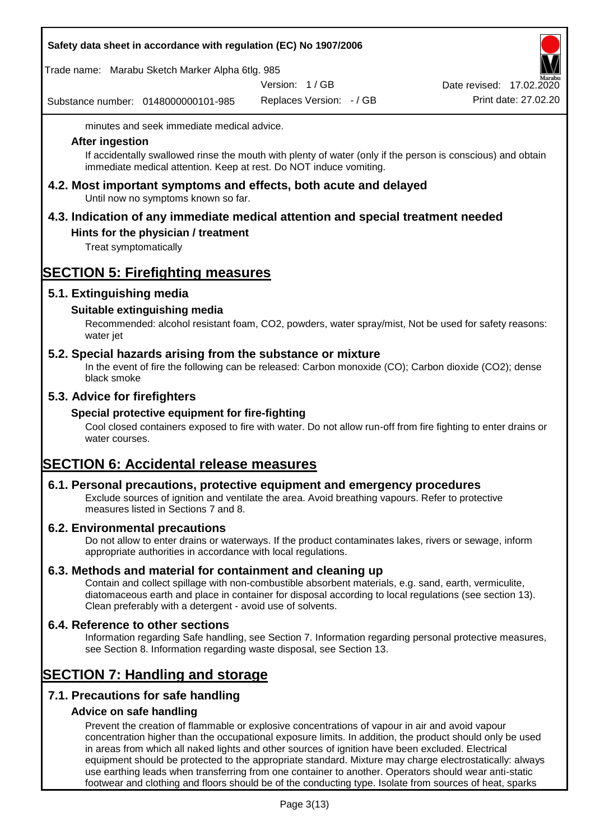|  | Safety data sheet in accordance with regulation (EC) No 1907/2006 |  |
|--|-------------------------------------------------------------------|--|
|--|-------------------------------------------------------------------|--|

Trade name: Marabu Sketch Marker Alpha 6tlg. 985

Version: 1 / GB

Substance number: 0148000000101-985

Replaces Version: - / GB Print date: 27.02.20 Date revised: 17.02.2020

minutes and seek immediate medical advice.

#### **After ingestion**

If accidentally swallowed rinse the mouth with plenty of water (only if the person is conscious) and obtain immediate medical attention. Keep at rest. Do NOT induce vomiting.

**4.2. Most important symptoms and effects, both acute and delayed** Until now no symptoms known so far.

# **4.3. Indication of any immediate medical attention and special treatment needed**

# **Hints for the physician / treatment**

Treat symptomatically

# **SECTION 5: Firefighting measures**

# **5.1. Extinguishing media**

# **Suitable extinguishing media**

Recommended: alcohol resistant foam, CO2, powders, water spray/mist, Not be used for safety reasons: water jet

# **5.2. Special hazards arising from the substance or mixture**

In the event of fire the following can be released: Carbon monoxide (CO); Carbon dioxide (CO2); dense black smoke

# **5.3. Advice for firefighters**

# **Special protective equipment for fire-fighting**

Cool closed containers exposed to fire with water. Do not allow run-off from fire fighting to enter drains or water courses.

# **SECTION 6: Accidental release measures**

# **6.1. Personal precautions, protective equipment and emergency procedures**

Exclude sources of ignition and ventilate the area. Avoid breathing vapours. Refer to protective measures listed in Sections 7 and 8.

# **6.2. Environmental precautions**

Do not allow to enter drains or waterways. If the product contaminates lakes, rivers or sewage, inform appropriate authorities in accordance with local regulations.

# **6.3. Methods and material for containment and cleaning up**

Contain and collect spillage with non-combustible absorbent materials, e.g. sand, earth, vermiculite, diatomaceous earth and place in container for disposal according to local regulations (see section 13). Clean preferably with a detergent - avoid use of solvents.

# **6.4. Reference to other sections**

Information regarding Safe handling, see Section 7. Information regarding personal protective measures, see Section 8. Information regarding waste disposal, see Section 13.

# **SECTION 7: Handling and storage**

# **7.1. Precautions for safe handling**

# **Advice on safe handling**

Prevent the creation of flammable or explosive concentrations of vapour in air and avoid vapour concentration higher than the occupational exposure limits. In addition, the product should only be used in areas from which all naked lights and other sources of ignition have been excluded. Electrical equipment should be protected to the appropriate standard. Mixture may charge electrostatically: always use earthing leads when transferring from one container to another. Operators should wear anti-static footwear and clothing and floors should be of the conducting type. Isolate from sources of heat, sparks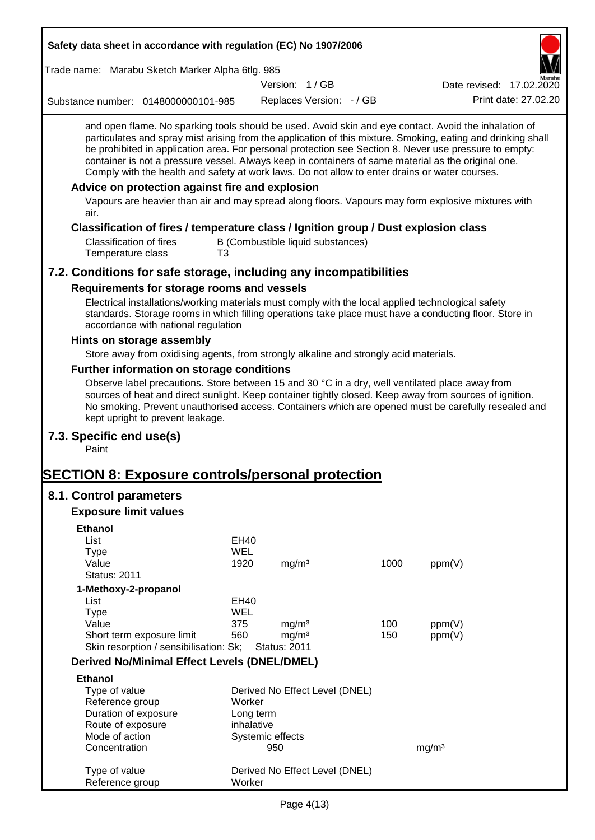| Safety data sheet in accordance with regulation (EC) No 1907/2006                                                                                                                                                                                                                                                                                                                                                                                                                                                                                                                                                                                                                                         |            |                     |                                   |      |                          |                      |
|-----------------------------------------------------------------------------------------------------------------------------------------------------------------------------------------------------------------------------------------------------------------------------------------------------------------------------------------------------------------------------------------------------------------------------------------------------------------------------------------------------------------------------------------------------------------------------------------------------------------------------------------------------------------------------------------------------------|------------|---------------------|-----------------------------------|------|--------------------------|----------------------|
| Trade name: Marabu Sketch Marker Alpha 6tlg. 985                                                                                                                                                                                                                                                                                                                                                                                                                                                                                                                                                                                                                                                          |            |                     |                                   |      |                          |                      |
|                                                                                                                                                                                                                                                                                                                                                                                                                                                                                                                                                                                                                                                                                                           |            | Version: 1/GB       |                                   |      | Date revised: 17.02.2020 |                      |
| Substance number: 0148000000101-985                                                                                                                                                                                                                                                                                                                                                                                                                                                                                                                                                                                                                                                                       |            |                     | Replaces Version: - / GB          |      |                          | Print date: 27.02.20 |
| and open flame. No sparking tools should be used. Avoid skin and eye contact. Avoid the inhalation of<br>particulates and spray mist arising from the application of this mixture. Smoking, eating and drinking shall<br>be prohibited in application area. For personal protection see Section 8. Never use pressure to empty:<br>container is not a pressure vessel. Always keep in containers of same material as the original one.<br>Comply with the health and safety at work laws. Do not allow to enter drains or water courses.<br>Advice on protection against fire and explosion<br>Vapours are heavier than air and may spread along floors. Vapours may form explosive mixtures with<br>air. |            |                     |                                   |      |                          |                      |
| Classification of fires / temperature class / Ignition group / Dust explosion class                                                                                                                                                                                                                                                                                                                                                                                                                                                                                                                                                                                                                       |            |                     |                                   |      |                          |                      |
| <b>Classification of fires</b><br>Temperature class<br>T3                                                                                                                                                                                                                                                                                                                                                                                                                                                                                                                                                                                                                                                 |            |                     | B (Combustible liquid substances) |      |                          |                      |
| 7.2. Conditions for safe storage, including any incompatibilities                                                                                                                                                                                                                                                                                                                                                                                                                                                                                                                                                                                                                                         |            |                     |                                   |      |                          |                      |
| Requirements for storage rooms and vessels                                                                                                                                                                                                                                                                                                                                                                                                                                                                                                                                                                                                                                                                |            |                     |                                   |      |                          |                      |
| Electrical installations/working materials must comply with the local applied technological safety<br>standards. Storage rooms in which filling operations take place must have a conducting floor. Store in<br>accordance with national regulation                                                                                                                                                                                                                                                                                                                                                                                                                                                       |            |                     |                                   |      |                          |                      |
| Hints on storage assembly                                                                                                                                                                                                                                                                                                                                                                                                                                                                                                                                                                                                                                                                                 |            |                     |                                   |      |                          |                      |
| Store away from oxidising agents, from strongly alkaline and strongly acid materials.                                                                                                                                                                                                                                                                                                                                                                                                                                                                                                                                                                                                                     |            |                     |                                   |      |                          |                      |
| Further information on storage conditions                                                                                                                                                                                                                                                                                                                                                                                                                                                                                                                                                                                                                                                                 |            |                     |                                   |      |                          |                      |
| Observe label precautions. Store between 15 and 30 °C in a dry, well ventilated place away from<br>sources of heat and direct sunlight. Keep container tightly closed. Keep away from sources of ignition.<br>No smoking. Prevent unauthorised access. Containers which are opened must be carefully resealed and<br>kept upright to prevent leakage.                                                                                                                                                                                                                                                                                                                                                     |            |                     |                                   |      |                          |                      |
| 7.3. Specific end use(s)<br>Paint                                                                                                                                                                                                                                                                                                                                                                                                                                                                                                                                                                                                                                                                         |            |                     |                                   |      |                          |                      |
| <b>SECTION 8: Exposure controls/personal protection</b>                                                                                                                                                                                                                                                                                                                                                                                                                                                                                                                                                                                                                                                   |            |                     |                                   |      |                          |                      |
| 8.1. Control parameters                                                                                                                                                                                                                                                                                                                                                                                                                                                                                                                                                                                                                                                                                   |            |                     |                                   |      |                          |                      |
| <b>Exposure limit values</b>                                                                                                                                                                                                                                                                                                                                                                                                                                                                                                                                                                                                                                                                              |            |                     |                                   |      |                          |                      |
| <b>Ethanol</b>                                                                                                                                                                                                                                                                                                                                                                                                                                                                                                                                                                                                                                                                                            |            |                     |                                   |      |                          |                      |
| List                                                                                                                                                                                                                                                                                                                                                                                                                                                                                                                                                                                                                                                                                                      | EH40       |                     |                                   |      |                          |                      |
| <b>Type</b>                                                                                                                                                                                                                                                                                                                                                                                                                                                                                                                                                                                                                                                                                               | <b>WEL</b> |                     |                                   |      |                          |                      |
| Value<br><b>Status: 2011</b>                                                                                                                                                                                                                                                                                                                                                                                                                                                                                                                                                                                                                                                                              | 1920       | mg/m <sup>3</sup>   |                                   | 1000 | ppm(V)                   |                      |
| 1-Methoxy-2-propanol                                                                                                                                                                                                                                                                                                                                                                                                                                                                                                                                                                                                                                                                                      |            |                     |                                   |      |                          |                      |
| List                                                                                                                                                                                                                                                                                                                                                                                                                                                                                                                                                                                                                                                                                                      | EH40       |                     |                                   |      |                          |                      |
| <b>Type</b>                                                                                                                                                                                                                                                                                                                                                                                                                                                                                                                                                                                                                                                                                               | <b>WEL</b> |                     |                                   |      |                          |                      |
| Value                                                                                                                                                                                                                                                                                                                                                                                                                                                                                                                                                                                                                                                                                                     | 375        | mg/m <sup>3</sup>   |                                   | 100  | ppm(V)                   |                      |
| Short term exposure limit                                                                                                                                                                                                                                                                                                                                                                                                                                                                                                                                                                                                                                                                                 | 560        | mg/m <sup>3</sup>   |                                   | 150  | ppm(V)                   |                      |
| Skin resorption / sensibilisation: Sk;                                                                                                                                                                                                                                                                                                                                                                                                                                                                                                                                                                                                                                                                    |            | <b>Status: 2011</b> |                                   |      |                          |                      |
| <b>Derived No/Minimal Effect Levels (DNEL/DMEL)</b>                                                                                                                                                                                                                                                                                                                                                                                                                                                                                                                                                                                                                                                       |            |                     |                                   |      |                          |                      |
| <b>Ethanol</b>                                                                                                                                                                                                                                                                                                                                                                                                                                                                                                                                                                                                                                                                                            |            |                     |                                   |      |                          |                      |
| Type of value<br>Reference group                                                                                                                                                                                                                                                                                                                                                                                                                                                                                                                                                                                                                                                                          | Worker     |                     | Derived No Effect Level (DNEL)    |      |                          |                      |
| Duration of exposure                                                                                                                                                                                                                                                                                                                                                                                                                                                                                                                                                                                                                                                                                      |            | Long term           |                                   |      |                          |                      |
| Route of exposure                                                                                                                                                                                                                                                                                                                                                                                                                                                                                                                                                                                                                                                                                         | inhalative |                     |                                   |      |                          |                      |
| Mode of action                                                                                                                                                                                                                                                                                                                                                                                                                                                                                                                                                                                                                                                                                            |            | Systemic effects    |                                   |      |                          |                      |
| Concentration                                                                                                                                                                                                                                                                                                                                                                                                                                                                                                                                                                                                                                                                                             |            | 950                 |                                   |      | mg/m <sup>3</sup>        |                      |
| Type of value<br>Reference group                                                                                                                                                                                                                                                                                                                                                                                                                                                                                                                                                                                                                                                                          | Worker     |                     | Derived No Effect Level (DNEL)    |      |                          |                      |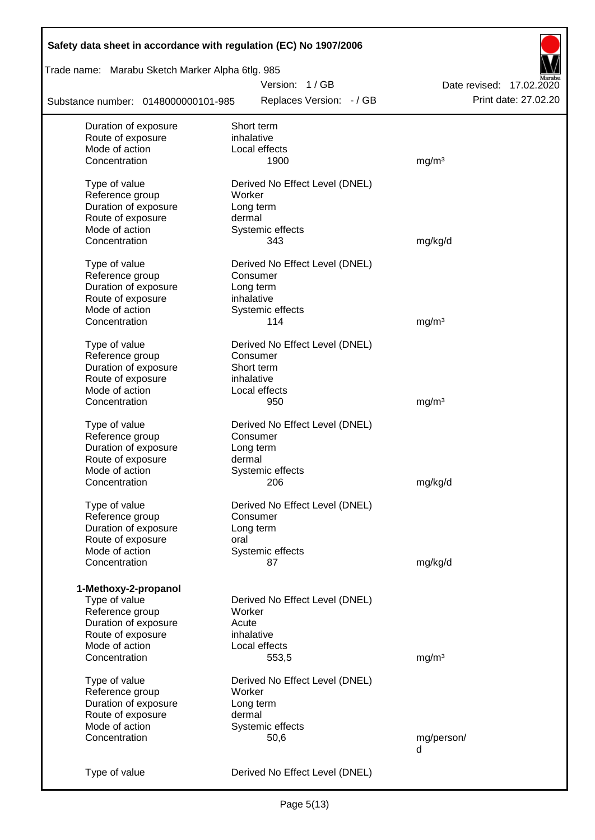| Safety data sheet in accordance with regulation (EC) No 1907/2006 |                                |                          |
|-------------------------------------------------------------------|--------------------------------|--------------------------|
| Trade name: Marabu Sketch Marker Alpha 6tlg. 985                  |                                |                          |
|                                                                   | Version: 1/GB                  | Date revised: 17.02.2020 |
| Substance number: 0148000000101-985                               | Replaces Version: - / GB       | Print date: 27.02.20     |
| Duration of exposure                                              | Short term                     |                          |
| Route of exposure                                                 | inhalative                     |                          |
| Mode of action                                                    | Local effects                  |                          |
| Concentration                                                     | 1900                           | mg/m <sup>3</sup>        |
| Type of value                                                     | Derived No Effect Level (DNEL) |                          |
| Reference group                                                   | Worker                         |                          |
| Duration of exposure                                              | Long term                      |                          |
| Route of exposure                                                 | dermal                         |                          |
| Mode of action                                                    | Systemic effects               |                          |
| Concentration                                                     | 343                            | mg/kg/d                  |
| Type of value                                                     | Derived No Effect Level (DNEL) |                          |
| Reference group                                                   | Consumer                       |                          |
| Duration of exposure                                              | Long term                      |                          |
| Route of exposure                                                 | inhalative                     |                          |
| Mode of action                                                    | Systemic effects               |                          |
| Concentration                                                     | 114                            | mg/m <sup>3</sup>        |
| Type of value                                                     | Derived No Effect Level (DNEL) |                          |
| Reference group                                                   | Consumer                       |                          |
| Duration of exposure                                              | Short term                     |                          |
| Route of exposure                                                 | inhalative                     |                          |
| Mode of action                                                    | Local effects                  |                          |
| Concentration                                                     | 950                            | mg/m <sup>3</sup>        |
| Type of value                                                     | Derived No Effect Level (DNEL) |                          |
| Reference group                                                   | Consumer                       |                          |
| Duration of exposure                                              | Long term                      |                          |
| Route of exposure                                                 | dermal                         |                          |
| Mode of action                                                    | Systemic effects               |                          |
| Concentration                                                     | 206                            | mg/kg/d                  |
| Type of value                                                     | Derived No Effect Level (DNEL) |                          |
| Reference group                                                   | Consumer                       |                          |
| Duration of exposure                                              | Long term                      |                          |
| Route of exposure                                                 | oral                           |                          |
| Mode of action                                                    | Systemic effects               |                          |
| Concentration                                                     | 87                             | mg/kg/d                  |
|                                                                   |                                |                          |
| 1-Methoxy-2-propanol                                              |                                |                          |
| Type of value                                                     | Derived No Effect Level (DNEL) |                          |
| Reference group                                                   | Worker                         |                          |
| Duration of exposure                                              | Acute                          |                          |
| Route of exposure                                                 | inhalative                     |                          |
| Mode of action                                                    | Local effects                  |                          |
| Concentration                                                     | 553,5                          | mg/m <sup>3</sup>        |
| Type of value                                                     | Derived No Effect Level (DNEL) |                          |
| Reference group                                                   | Worker                         |                          |
| Duration of exposure                                              | Long term                      |                          |
| Route of exposure                                                 | dermal                         |                          |
| Mode of action                                                    | Systemic effects               |                          |
| Concentration                                                     | 50,6                           | mg/person/               |
|                                                                   |                                | d                        |
| Type of value                                                     | Derived No Effect Level (DNEL) |                          |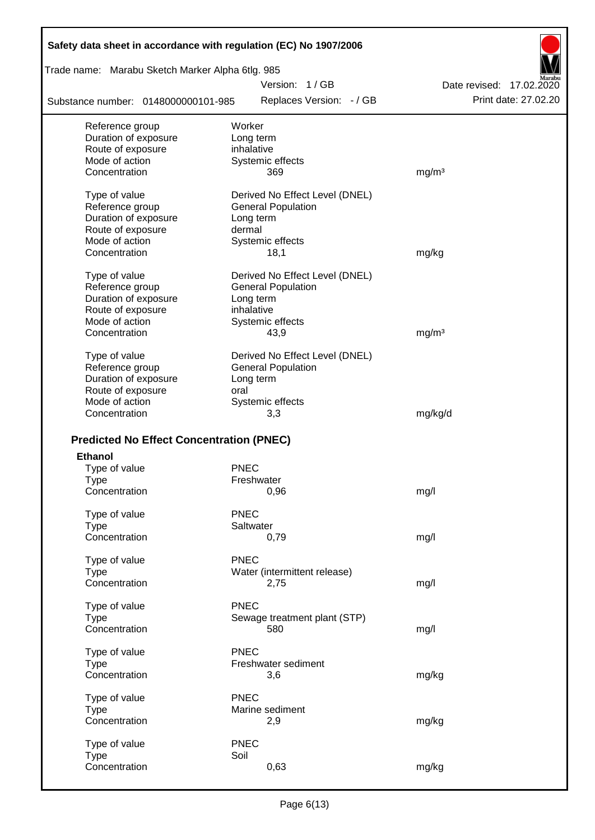| Safety data sheet in accordance with regulation (EC) No 1907/2006 |                                |                          |
|-------------------------------------------------------------------|--------------------------------|--------------------------|
| Trade name: Marabu Sketch Marker Alpha 6tlg. 985                  |                                |                          |
|                                                                   | Version: 1/GB                  | Date revised: 17,02,2020 |
| Substance number: 0148000000101-985                               | Replaces Version: - / GB       | Print date: 27,02.20     |
| Reference group                                                   | Worker                         |                          |
| Duration of exposure                                              | Long term                      |                          |
| Route of exposure                                                 | inhalative                     |                          |
| Mode of action                                                    | Systemic effects               |                          |
| Concentration                                                     | 369                            | mg/m <sup>3</sup>        |
| Type of value                                                     | Derived No Effect Level (DNEL) |                          |
| Reference group                                                   | <b>General Population</b>      |                          |
| Duration of exposure                                              | Long term                      |                          |
| Route of exposure                                                 | dermal                         |                          |
| Mode of action                                                    | Systemic effects               |                          |
| Concentration                                                     | 18,1                           | mg/kg                    |
| Type of value                                                     | Derived No Effect Level (DNEL) |                          |
| Reference group                                                   | <b>General Population</b>      |                          |
| Duration of exposure                                              | Long term                      |                          |
| Route of exposure                                                 | inhalative                     |                          |
| Mode of action                                                    | Systemic effects               |                          |
| Concentration                                                     | 43,9                           | mg/m <sup>3</sup>        |
| Type of value                                                     | Derived No Effect Level (DNEL) |                          |
| Reference group                                                   | <b>General Population</b>      |                          |
| Duration of exposure                                              | Long term                      |                          |
| Route of exposure                                                 | oral                           |                          |
| Mode of action                                                    | Systemic effects               |                          |
| Concentration                                                     | 3,3                            | mg/kg/d                  |
|                                                                   |                                |                          |
| <b>Predicted No Effect Concentration (PNEC)</b>                   |                                |                          |
| <b>Ethanol</b>                                                    |                                |                          |
| Type of value                                                     | <b>PNEC</b>                    |                          |
| Type                                                              | Freshwater                     |                          |
| Concentration                                                     | 0,96                           | mg/l                     |
| Type of value                                                     | <b>PNEC</b>                    |                          |
| <b>Type</b>                                                       | Saltwater                      |                          |
| Concentration                                                     | 0,79                           | mg/l                     |
| Type of value                                                     | <b>PNEC</b>                    |                          |
| <b>Type</b>                                                       | Water (intermittent release)   |                          |
| Concentration                                                     | 2,75                           | mg/l                     |
| Type of value                                                     | <b>PNEC</b>                    |                          |
| <b>Type</b>                                                       | Sewage treatment plant (STP)   |                          |
| Concentration                                                     | 580                            | mg/l                     |
|                                                                   |                                |                          |
| Type of value                                                     | <b>PNEC</b>                    |                          |
| <b>Type</b>                                                       | Freshwater sediment            |                          |
| Concentration                                                     | 3,6                            | mg/kg                    |
| Type of value                                                     | <b>PNEC</b>                    |                          |
| <b>Type</b>                                                       | Marine sediment                |                          |
| Concentration                                                     | 2,9                            | mg/kg                    |
|                                                                   |                                |                          |
| Type of value                                                     | <b>PNEC</b>                    |                          |
| <b>Type</b>                                                       | Soil                           |                          |
| Concentration                                                     | 0,63                           | mg/kg                    |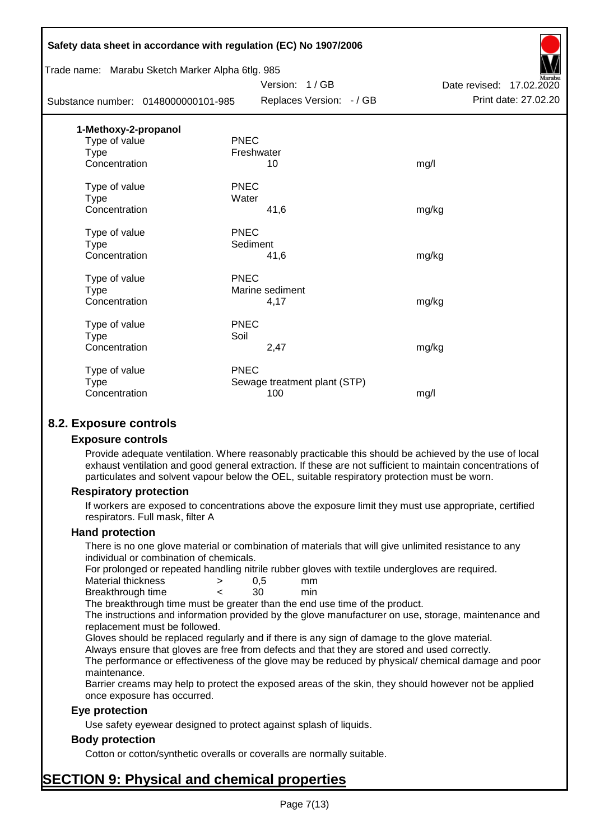|                      | Safety data sheet in accordance with regulation (EC) No 1907/2006 |                              |                          |
|----------------------|-------------------------------------------------------------------|------------------------------|--------------------------|
|                      | Trade name: Marabu Sketch Marker Alpha 6tlg. 985                  |                              |                          |
|                      |                                                                   | Version: 1/GB                | Date revised: 17.02.2020 |
|                      | Substance number: 0148000000101-985                               | Replaces Version: - / GB     | Print date: 27.02.20     |
| 1-Methoxy-2-propanol |                                                                   |                              |                          |
| Type of value        | <b>PNEC</b>                                                       |                              |                          |
| <b>Type</b>          |                                                                   | Freshwater                   |                          |
| Concentration        |                                                                   | 10                           | mg/l                     |
| Type of value        | <b>PNEC</b>                                                       |                              |                          |
| <b>Type</b>          | Water                                                             |                              |                          |
| Concentration        |                                                                   | 41,6                         | mg/kg                    |
| Type of value        | <b>PNEC</b>                                                       |                              |                          |
| <b>Type</b>          | Sediment                                                          |                              |                          |
| Concentration        |                                                                   | 41,6                         | mg/kg                    |
| Type of value        | <b>PNEC</b>                                                       |                              |                          |
| <b>Type</b>          |                                                                   | Marine sediment              |                          |
| Concentration        |                                                                   | 4,17                         | mg/kg                    |
| Type of value        | <b>PNEC</b>                                                       |                              |                          |
| <b>Type</b>          | Soil                                                              |                              |                          |
| Concentration        |                                                                   | 2,47                         | mg/kg                    |
| Type of value        | <b>PNEC</b>                                                       |                              |                          |
| <b>Type</b>          |                                                                   | Sewage treatment plant (STP) |                          |
| Concentration        |                                                                   | 100                          | mg/l                     |
|                      |                                                                   |                              |                          |

# **8.2. Exposure controls**

#### **Exposure controls**

Provide adequate ventilation. Where reasonably practicable this should be achieved by the use of local exhaust ventilation and good general extraction. If these are not sufficient to maintain concentrations of particulates and solvent vapour below the OEL, suitable respiratory protection must be worn.

#### **Respiratory protection**

If workers are exposed to concentrations above the exposure limit they must use appropriate, certified respirators. Full mask, filter A

#### **Hand protection**

There is no one glove material or combination of materials that will give unlimited resistance to any individual or combination of chemicals.

For prolonged or repeated handling nitrile rubber gloves with textile undergloves are required.

| Material thickness | 0.5 | mm  |
|--------------------|-----|-----|
| Breakthrough time  | 30  | min |

The breakthrough time must be greater than the end use time of the product.

The instructions and information provided by the glove manufacturer on use, storage, maintenance and replacement must be followed.

Gloves should be replaced regularly and if there is any sign of damage to the glove material.

Always ensure that gloves are free from defects and that they are stored and used correctly.

The performance or effectiveness of the glove may be reduced by physical/ chemical damage and poor maintenance.

Barrier creams may help to protect the exposed areas of the skin, they should however not be applied once exposure has occurred.

# **Eye protection**

Use safety eyewear designed to protect against splash of liquids.

# **Body protection**

Cotton or cotton/synthetic overalls or coveralls are normally suitable.

# **SECTION 9: Physical and chemical properties**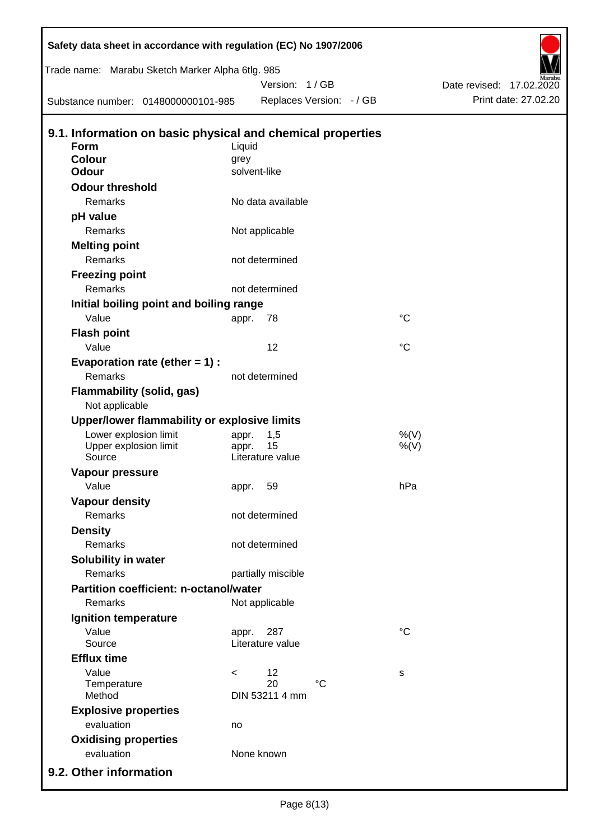| Safety data sheet in accordance with regulation (EC) No 1907/2006 |              |                        |                          |                 |                          |
|-------------------------------------------------------------------|--------------|------------------------|--------------------------|-----------------|--------------------------|
| Trade name: Marabu Sketch Marker Alpha 6tlg. 985                  |              |                        |                          |                 |                          |
|                                                                   |              | Version: 1 / GB        |                          |                 | Date revised: 17.02.2020 |
| Substance number: 0148000000101-985                               |              |                        | Replaces Version: - / GB |                 | Print date: 27.02.20     |
| 9.1. Information on basic physical and chemical properties        |              |                        |                          |                 |                          |
| Form                                                              | Liquid       |                        |                          |                 |                          |
| <b>Colour</b>                                                     | grey         |                        |                          |                 |                          |
| <b>Odour</b>                                                      | solvent-like |                        |                          |                 |                          |
| <b>Odour threshold</b>                                            |              |                        |                          |                 |                          |
| Remarks                                                           |              | No data available      |                          |                 |                          |
| pH value                                                          |              |                        |                          |                 |                          |
| Remarks                                                           |              | Not applicable         |                          |                 |                          |
| <b>Melting point</b>                                              |              |                        |                          |                 |                          |
| Remarks                                                           |              | not determined         |                          |                 |                          |
| <b>Freezing point</b>                                             |              |                        |                          |                 |                          |
| Remarks                                                           |              | not determined         |                          |                 |                          |
| Initial boiling point and boiling range                           |              |                        |                          |                 |                          |
| Value                                                             | appr.        | 78                     |                          | $^{\circ}C$     |                          |
| <b>Flash point</b>                                                |              |                        |                          |                 |                          |
| Value                                                             |              | 12                     |                          | $\rm ^{\circ}C$ |                          |
| Evaporation rate (ether $= 1$ ) :                                 |              |                        |                          |                 |                          |
| Remarks                                                           |              | not determined         |                          |                 |                          |
| Flammability (solid, gas)<br>Not applicable                       |              |                        |                          |                 |                          |
| Upper/lower flammability or explosive limits                      |              |                        |                          |                 |                          |
| Lower explosion limit                                             | appr.        | 1,5                    |                          | %(V)            |                          |
| Upper explosion limit<br>Source                                   | appr.        | 15<br>Literature value |                          | $%$ (V)         |                          |
| Vapour pressure                                                   |              |                        |                          |                 |                          |
| Value                                                             | appr. 59     |                        |                          | hPa             |                          |
| <b>Vapour density</b>                                             |              |                        |                          |                 |                          |
| Remarks                                                           |              | not determined         |                          |                 |                          |
| <b>Density</b>                                                    |              |                        |                          |                 |                          |
| Remarks                                                           |              | not determined         |                          |                 |                          |
| Solubility in water                                               |              |                        |                          |                 |                          |
| Remarks                                                           |              | partially miscible     |                          |                 |                          |
| <b>Partition coefficient: n-octanol/water</b>                     |              |                        |                          |                 |                          |
| Remarks                                                           |              | Not applicable         |                          |                 |                          |
| Ignition temperature                                              |              |                        |                          |                 |                          |
| Value                                                             | appr.        | 287                    |                          | $^{\circ}C$     |                          |
| Source                                                            |              | Literature value       |                          |                 |                          |
| <b>Efflux time</b>                                                |              |                        |                          |                 |                          |
| Value                                                             | $\,<\,$      | 12                     |                          | s               |                          |
| Temperature<br>Method                                             |              | 20<br>DIN 53211 4 mm   | $\rm ^{\circ}C$          |                 |                          |
| <b>Explosive properties</b>                                       |              |                        |                          |                 |                          |
| evaluation                                                        | no           |                        |                          |                 |                          |
| <b>Oxidising properties</b>                                       |              |                        |                          |                 |                          |
| evaluation                                                        |              | None known             |                          |                 |                          |
|                                                                   |              |                        |                          |                 |                          |
| 9.2. Other information                                            |              |                        |                          |                 |                          |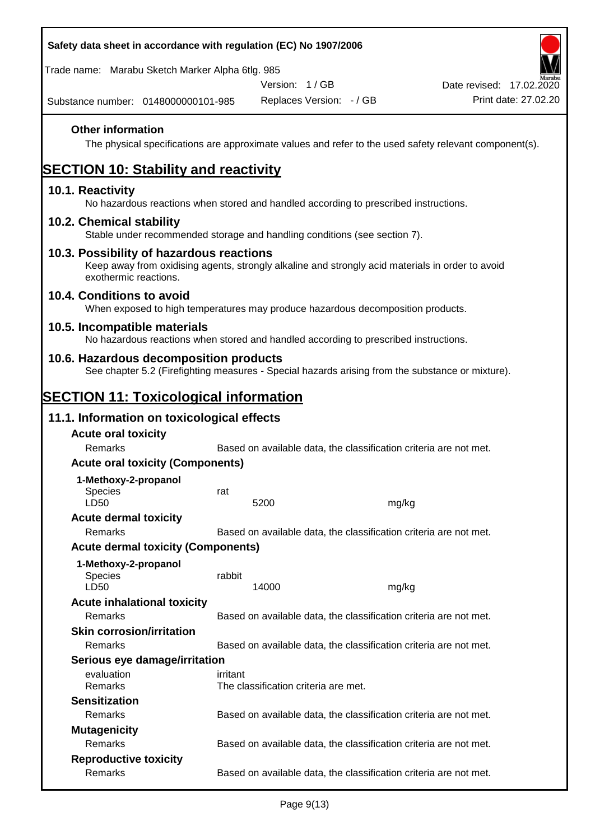| Safety data sheet in accordance with regulation (EC) No 1907/2006                                                                                                     |          |                                      |                                                                   |                                                                                                        |
|-----------------------------------------------------------------------------------------------------------------------------------------------------------------------|----------|--------------------------------------|-------------------------------------------------------------------|--------------------------------------------------------------------------------------------------------|
| Trade name: Marabu Sketch Marker Alpha 6tlg. 985                                                                                                                      |          |                                      |                                                                   |                                                                                                        |
|                                                                                                                                                                       |          | Version: 1/GB                        |                                                                   | Date revised: 17.02.2020                                                                               |
| Substance number: 0148000000101-985                                                                                                                                   |          | Replaces Version: - / GB             |                                                                   | Print date: 27.02.20                                                                                   |
| <b>Other information</b>                                                                                                                                              |          |                                      |                                                                   | The physical specifications are approximate values and refer to the used safety relevant component(s). |
| <b>SECTION 10: Stability and reactivity</b>                                                                                                                           |          |                                      |                                                                   |                                                                                                        |
| 10.1. Reactivity<br>No hazardous reactions when stored and handled according to prescribed instructions.                                                              |          |                                      |                                                                   |                                                                                                        |
| 10.2. Chemical stability<br>Stable under recommended storage and handling conditions (see section 7).                                                                 |          |                                      |                                                                   |                                                                                                        |
| 10.3. Possibility of hazardous reactions<br>Keep away from oxidising agents, strongly alkaline and strongly acid materials in order to avoid<br>exothermic reactions. |          |                                      |                                                                   |                                                                                                        |
| 10.4. Conditions to avoid<br>When exposed to high temperatures may produce hazardous decomposition products.                                                          |          |                                      |                                                                   |                                                                                                        |
| 10.5. Incompatible materials<br>No hazardous reactions when stored and handled according to prescribed instructions.                                                  |          |                                      |                                                                   |                                                                                                        |
| 10.6. Hazardous decomposition products<br>See chapter 5.2 (Firefighting measures - Special hazards arising from the substance or mixture).                            |          |                                      |                                                                   |                                                                                                        |
| <b>SECTION 11: Toxicological information</b>                                                                                                                          |          |                                      |                                                                   |                                                                                                        |
| 11.1. Information on toxicological effects                                                                                                                            |          |                                      |                                                                   |                                                                                                        |
| <b>Acute oral toxicity</b>                                                                                                                                            |          |                                      |                                                                   |                                                                                                        |
| Remarks                                                                                                                                                               |          |                                      | Based on available data, the classification criteria are not met. |                                                                                                        |
| <b>Acute oral toxicity (Components)</b>                                                                                                                               |          |                                      |                                                                   |                                                                                                        |
| 1-Methoxy-2-propanol                                                                                                                                                  |          |                                      |                                                                   |                                                                                                        |
| <b>Species</b><br>LD50                                                                                                                                                | rat      | 5200                                 | mg/kg                                                             |                                                                                                        |
| <b>Acute dermal toxicity</b>                                                                                                                                          |          |                                      |                                                                   |                                                                                                        |
| Remarks                                                                                                                                                               |          |                                      | Based on available data, the classification criteria are not met. |                                                                                                        |
| <b>Acute dermal toxicity (Components)</b>                                                                                                                             |          |                                      |                                                                   |                                                                                                        |
| 1-Methoxy-2-propanol<br>Species<br>LD50                                                                                                                               | rabbit   | 14000                                | mg/kg                                                             |                                                                                                        |
| <b>Acute inhalational toxicity</b>                                                                                                                                    |          |                                      |                                                                   |                                                                                                        |
| Remarks                                                                                                                                                               |          |                                      | Based on available data, the classification criteria are not met. |                                                                                                        |
| <b>Skin corrosion/irritation</b>                                                                                                                                      |          |                                      |                                                                   |                                                                                                        |
| Remarks                                                                                                                                                               |          |                                      | Based on available data, the classification criteria are not met. |                                                                                                        |
| Serious eye damage/irritation                                                                                                                                         |          |                                      |                                                                   |                                                                                                        |
| evaluation<br>Remarks                                                                                                                                                 | irritant | The classification criteria are met. |                                                                   |                                                                                                        |
| <b>Sensitization</b>                                                                                                                                                  |          |                                      |                                                                   |                                                                                                        |
| <b>Remarks</b>                                                                                                                                                        |          |                                      | Based on available data, the classification criteria are not met. |                                                                                                        |
| <b>Mutagenicity</b>                                                                                                                                                   |          |                                      |                                                                   |                                                                                                        |
| Remarks                                                                                                                                                               |          |                                      | Based on available data, the classification criteria are not met. |                                                                                                        |
| <b>Reproductive toxicity</b><br>Remarks                                                                                                                               |          |                                      | Based on available data, the classification criteria are not met. |                                                                                                        |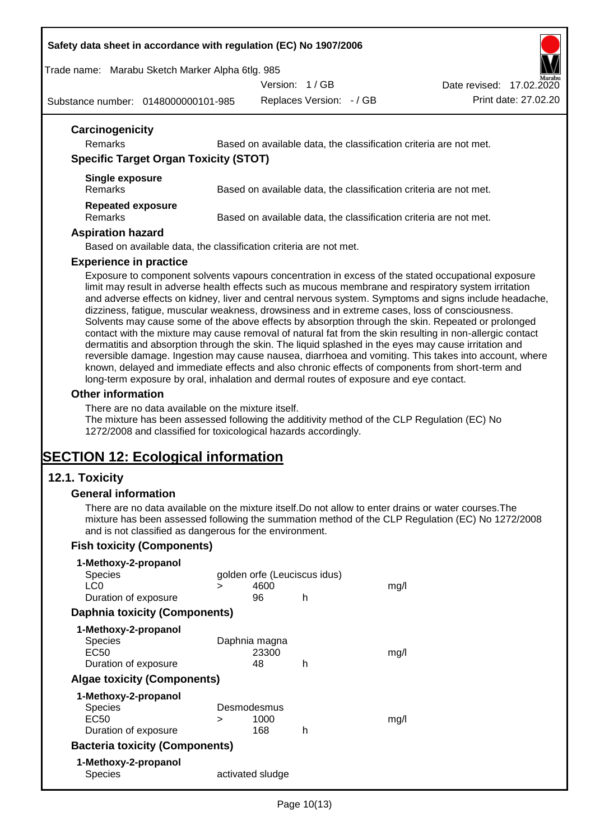#### **Safety data sheet in accordance with regulation (EC) No 1907/2006**

Trade name: Marabu Sketch Marker Alpha 6tlg. 985

Version: 1 / GB

Replaces Version: - / GB Print date: 27.02.20 Date revised: 17.02.2020

Substance number: 0148000000101-985

| Carcinogenicity                              |                                                                                                                                                                                                                                                                                                                                                                                                                                                                                                                                                                                                                                                                                                                                                                                                                                                                                                                                                 |
|----------------------------------------------|-------------------------------------------------------------------------------------------------------------------------------------------------------------------------------------------------------------------------------------------------------------------------------------------------------------------------------------------------------------------------------------------------------------------------------------------------------------------------------------------------------------------------------------------------------------------------------------------------------------------------------------------------------------------------------------------------------------------------------------------------------------------------------------------------------------------------------------------------------------------------------------------------------------------------------------------------|
| <b>Remarks</b>                               | Based on available data, the classification criteria are not met.                                                                                                                                                                                                                                                                                                                                                                                                                                                                                                                                                                                                                                                                                                                                                                                                                                                                               |
| <b>Specific Target Organ Toxicity (STOT)</b> |                                                                                                                                                                                                                                                                                                                                                                                                                                                                                                                                                                                                                                                                                                                                                                                                                                                                                                                                                 |
| Single exposure<br><b>Remarks</b>            | Based on available data, the classification criteria are not met.                                                                                                                                                                                                                                                                                                                                                                                                                                                                                                                                                                                                                                                                                                                                                                                                                                                                               |
| <b>Repeated exposure</b><br><b>Remarks</b>   | Based on available data, the classification criteria are not met.                                                                                                                                                                                                                                                                                                                                                                                                                                                                                                                                                                                                                                                                                                                                                                                                                                                                               |
| <b>Aspiration hazard</b>                     |                                                                                                                                                                                                                                                                                                                                                                                                                                                                                                                                                                                                                                                                                                                                                                                                                                                                                                                                                 |
|                                              | Based on available data, the classification criteria are not met.                                                                                                                                                                                                                                                                                                                                                                                                                                                                                                                                                                                                                                                                                                                                                                                                                                                                               |
| <b>Experience in practice</b>                |                                                                                                                                                                                                                                                                                                                                                                                                                                                                                                                                                                                                                                                                                                                                                                                                                                                                                                                                                 |
|                                              | limit may result in adverse health effects such as mucous membrane and respiratory system irritation<br>and adverse effects on kidney, liver and central nervous system. Symptoms and signs include headache,<br>dizziness, fatigue, muscular weakness, drowsiness and in extreme cases, loss of consciousness.<br>Solvents may cause some of the above effects by absorption through the skin. Repeated or prolonged<br>contact with the mixture may cause removal of natural fat from the skin resulting in non-allergic contact<br>dermatitis and absorption through the skin. The liquid splashed in the eyes may cause irritation and<br>reversible damage. Ingestion may cause nausea, diarrhoea and vomiting. This takes into account, where<br>known, delayed and immediate effects and also chronic effects of components from short-term and<br>long-term exposure by oral, inhalation and dermal routes of exposure and eye contact. |
| <b>Other information</b>                     |                                                                                                                                                                                                                                                                                                                                                                                                                                                                                                                                                                                                                                                                                                                                                                                                                                                                                                                                                 |
|                                              | There are no data available on the mixture itself.<br>The mixture has been assessed following the additivity method of the CLP Regulation (EC) No<br>1272/2008 and classified for toxicological hazards accordingly.                                                                                                                                                                                                                                                                                                                                                                                                                                                                                                                                                                                                                                                                                                                            |
| <b>SECTION 12: Ecological information</b>    |                                                                                                                                                                                                                                                                                                                                                                                                                                                                                                                                                                                                                                                                                                                                                                                                                                                                                                                                                 |
| 12.1. Toxicity                               |                                                                                                                                                                                                                                                                                                                                                                                                                                                                                                                                                                                                                                                                                                                                                                                                                                                                                                                                                 |
| <b>General information</b>                   |                                                                                                                                                                                                                                                                                                                                                                                                                                                                                                                                                                                                                                                                                                                                                                                                                                                                                                                                                 |
|                                              | There are no data available on the mixture itself. Do not allow to enter drains or water courses. The                                                                                                                                                                                                                                                                                                                                                                                                                                                                                                                                                                                                                                                                                                                                                                                                                                           |

There are no data available on the mixture itself.Do not allow to enter drains or water courses.The mixture has been assessed following the summation method of the CLP Regulation (EC) No 1272/2008 and is not classified as dangerous for the environment.

# **Fish toxicity (Components)**

| 1-Methoxy-2-propanol                  |   |                              |   |      |
|---------------------------------------|---|------------------------------|---|------|
| <b>Species</b>                        |   | golden orfe (Leuciscus idus) |   |      |
| LC0                                   | ⋗ | 4600                         |   | mq/l |
| Duration of exposure                  |   | 96                           | h |      |
| <b>Daphnia toxicity (Components)</b>  |   |                              |   |      |
| 1-Methoxy-2-propanol                  |   |                              |   |      |
| <b>Species</b>                        |   | Daphnia magna                |   |      |
| EC50                                  |   | 23300                        |   | mq/1 |
| Duration of exposure                  |   | 48                           | h |      |
| <b>Algae toxicity (Components)</b>    |   |                              |   |      |
| 1-Methoxy-2-propanol                  |   |                              |   |      |
| <b>Species</b>                        |   | Desmodesmus                  |   |      |
| EC50                                  | > | 1000                         |   | mq/1 |
| Duration of exposure                  |   | 168                          | h |      |
| <b>Bacteria toxicity (Components)</b> |   |                              |   |      |
| 1-Methoxy-2-propanol                  |   |                              |   |      |
| Species                               |   | activated sludge             |   |      |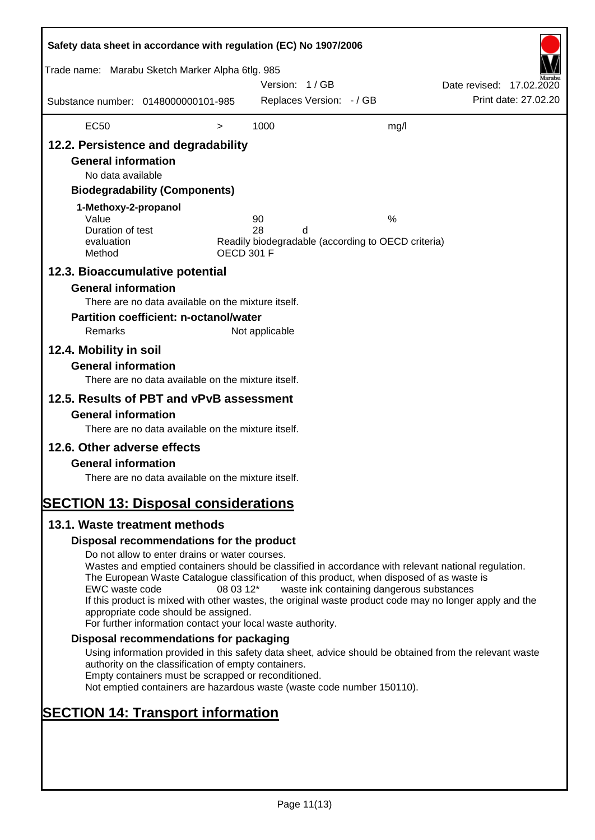| Safety data sheet in accordance with regulation (EC) No 1907/2006                                                                                                                                                                    |                                                                                                                                                                                                                                                                                                                                                                                                                                                                      |                   |                |                          |                                                         |                          |                      |
|--------------------------------------------------------------------------------------------------------------------------------------------------------------------------------------------------------------------------------------|----------------------------------------------------------------------------------------------------------------------------------------------------------------------------------------------------------------------------------------------------------------------------------------------------------------------------------------------------------------------------------------------------------------------------------------------------------------------|-------------------|----------------|--------------------------|---------------------------------------------------------|--------------------------|----------------------|
| Trade name: Marabu Sketch Marker Alpha 6tlg. 985                                                                                                                                                                                     |                                                                                                                                                                                                                                                                                                                                                                                                                                                                      |                   | Version: 1/GB  |                          |                                                         | Date revised: 17.02.2020 |                      |
| Substance number: 0148000000101-985                                                                                                                                                                                                  |                                                                                                                                                                                                                                                                                                                                                                                                                                                                      |                   |                | Replaces Version: - / GB |                                                         |                          | Print date: 27,02.20 |
| <b>EC50</b>                                                                                                                                                                                                                          |                                                                                                                                                                                                                                                                                                                                                                                                                                                                      | $\, > \,$         | 1000           |                          | mg/l                                                    |                          |                      |
| 12.2. Persistence and degradability<br><b>General information</b><br>No data available<br>1-Methoxy-2-propanol<br>Value<br>Duration of test<br>evaluation<br>Method<br>12.3. Bioaccumulative potential<br><b>General information</b> | <b>Biodegradability (Components)</b>                                                                                                                                                                                                                                                                                                                                                                                                                                 | <b>OECD 301 F</b> | 90<br>28       | d                        | %<br>Readily biodegradable (according to OECD criteria) |                          |                      |
| Remarks<br>12.4. Mobility in soil                                                                                                                                                                                                    | There are no data available on the mixture itself.<br><b>Partition coefficient: n-octanol/water</b>                                                                                                                                                                                                                                                                                                                                                                  |                   | Not applicable |                          |                                                         |                          |                      |
| <b>General information</b>                                                                                                                                                                                                           | There are no data available on the mixture itself.                                                                                                                                                                                                                                                                                                                                                                                                                   |                   |                |                          |                                                         |                          |                      |
| 12.5. Results of PBT and vPvB assessment<br><b>General information</b><br>12.6. Other adverse effects<br><b>General information</b>                                                                                                  | There are no data available on the mixture itself.<br>There are no data available on the mixture itself.                                                                                                                                                                                                                                                                                                                                                             |                   |                |                          |                                                         |                          |                      |
| <b>SECTION 13: Disposal considerations</b><br>13.1. Waste treatment methods                                                                                                                                                          |                                                                                                                                                                                                                                                                                                                                                                                                                                                                      |                   |                |                          |                                                         |                          |                      |
|                                                                                                                                                                                                                                      | Disposal recommendations for the product                                                                                                                                                                                                                                                                                                                                                                                                                             |                   |                |                          |                                                         |                          |                      |
| EWC waste code                                                                                                                                                                                                                       | Do not allow to enter drains or water courses.<br>Wastes and emptied containers should be classified in accordance with relevant national regulation.<br>The European Waste Catalogue classification of this product, when disposed of as waste is<br>If this product is mixed with other wastes, the original waste product code may no longer apply and the<br>appropriate code should be assigned.<br>For further information contact your local waste authority. | 08 03 12*         |                |                          | waste ink containing dangerous substances               |                          |                      |
|                                                                                                                                                                                                                                      | Disposal recommendations for packaging                                                                                                                                                                                                                                                                                                                                                                                                                               |                   |                |                          |                                                         |                          |                      |
|                                                                                                                                                                                                                                      | Using information provided in this safety data sheet, advice should be obtained from the relevant waste<br>authority on the classification of empty containers.<br>Empty containers must be scrapped or reconditioned.<br>Not emptied containers are hazardous waste (waste code number 150110).                                                                                                                                                                     |                   |                |                          |                                                         |                          |                      |
| <b>SECTION 14: Transport information</b>                                                                                                                                                                                             |                                                                                                                                                                                                                                                                                                                                                                                                                                                                      |                   |                |                          |                                                         |                          |                      |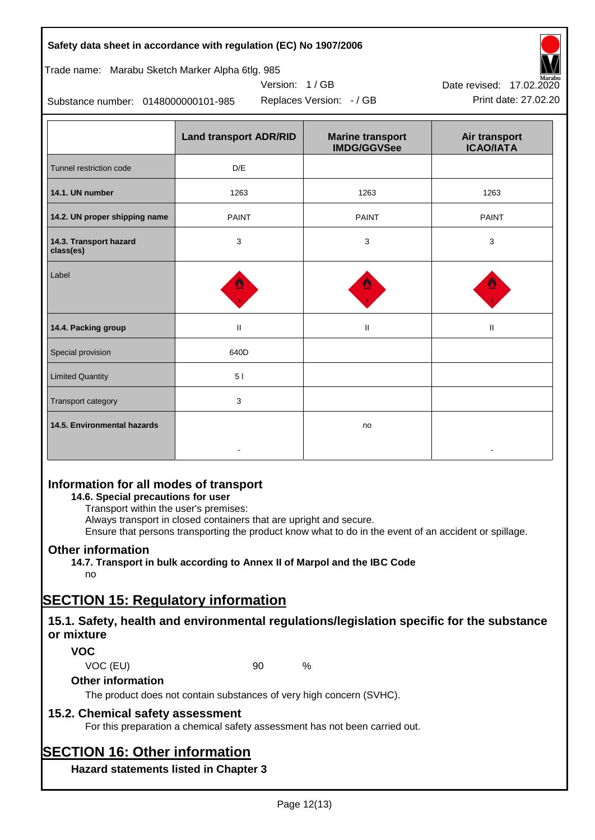| no                                        |  |
|-------------------------------------------|--|
| <b>SECTION 15: Regulatory information</b> |  |

# **15.1. Safety, health and environmental regulations/legislation specific for the substance or mixture**

Ensure that persons transporting the product know what to do in the event of an accident or spillage.

# **VOC**

VOC (EU) 90 %

**Other information**

**Other information**

no

The product does not contain substances of very high concern (SVHC).

Always transport in closed containers that are upright and secure.

**14.7. Transport in bulk according to Annex II of Marpol and the IBC Code**

# **15.2. Chemical safety assessment**

**Information for all modes of transport 14.6. Special precautions for user** Transport within the user's premises:

For this preparation a chemical safety assessment has not been carried out.

# **SECTION 16: Other information**

**Hazard statements listed in Chapter 3**

| Safety data sheet in accordance with regulation (EC) No 1907/2006 |  |
|-------------------------------------------------------------------|--|
|-------------------------------------------------------------------|--|

| Trade name: Marabu Sketch Marker Alpha 6tlg. 985 |
|--------------------------------------------------|
|--------------------------------------------------|

Substance number: 0148000000101-985

|                                     | <b>Land transport ADR/RID</b> | <b>Marine transport</b><br><b>IMDG/GGVSee</b> | Air transport<br><b>ICAO/IATA</b> |
|-------------------------------------|-------------------------------|-----------------------------------------------|-----------------------------------|
| Tunnel restriction code             | D/E                           |                                               |                                   |
| 14.1. UN number                     | 1263                          | 1263                                          | 1263                              |
| 14.2. UN proper shipping name       | <b>PAINT</b>                  | <b>PAINT</b>                                  | <b>PAINT</b>                      |
| 14.3. Transport hazard<br>class(es) | $\mathbf{3}$                  | 3                                             | 3                                 |
| Label                               |                               |                                               |                                   |
| 14.4. Packing group                 | $\mathbf{II}$                 | Ш                                             | $\mathbf{H}$                      |
| Special provision                   | 640D                          |                                               |                                   |
| <b>Limited Quantity</b>             | 51                            |                                               |                                   |
| Transport category                  | 3                             |                                               |                                   |
| 14.5. Environmental hazards         |                               | no                                            |                                   |

Version: 1 / GB

Replaces Version: - / GB Print date: 27.02.20 Date revised: 17.02.2020